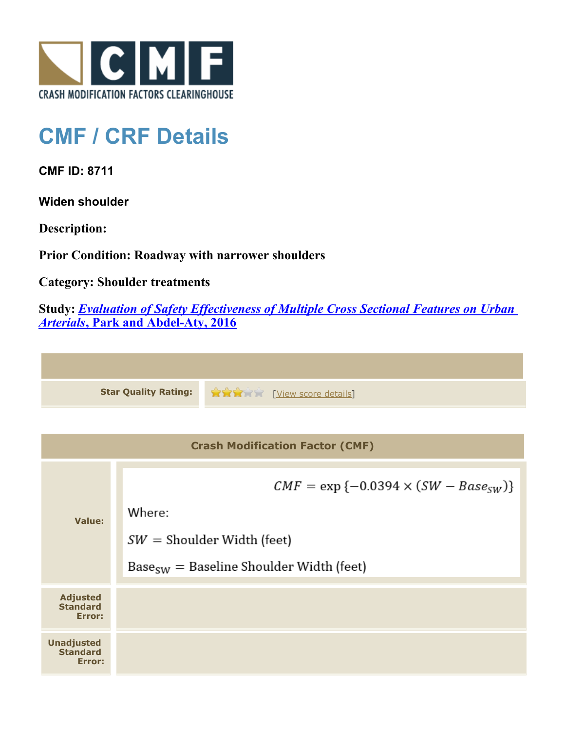

## **CMF / CRF Details**

**CMF ID: 8711**

**Widen shoulder**

**Description:** 

**Prior Condition: Roadway with narrower shoulders**

**Category: Shoulder treatments**

**Study:** *[Evaluation of Safety Effectiveness of Multiple Cross Sectional Features on Urban](http://www.cmfclearinghouse.org/study_detail.cfm?stid=476) [Arterials](http://www.cmfclearinghouse.org/study_detail.cfm?stid=476)***[, Park and Abdel-Aty, 2016](http://www.cmfclearinghouse.org/study_detail.cfm?stid=476)**

**Star Quality Rating:**  $\mathbf{\hat{x}} \mathbf{\hat{x}}$  | [View score details](http://www.cmfclearinghouse.org/score_details.cfm?facid=8711)]

| <b>Crash Modification Factor (CMF)</b>         |                                                                                                                                         |  |
|------------------------------------------------|-----------------------------------------------------------------------------------------------------------------------------------------|--|
| Value:                                         | $CMF = \exp \{-0.0394 \times (SW - Base_{SW})\}$<br>Where:<br>$SW =$ Shoulder Width (feet)<br>$BaseSW = Baseline Shoulder Width (feet)$ |  |
| <b>Adjusted</b><br><b>Standard</b><br>Error:   |                                                                                                                                         |  |
| <b>Unadjusted</b><br><b>Standard</b><br>Error: |                                                                                                                                         |  |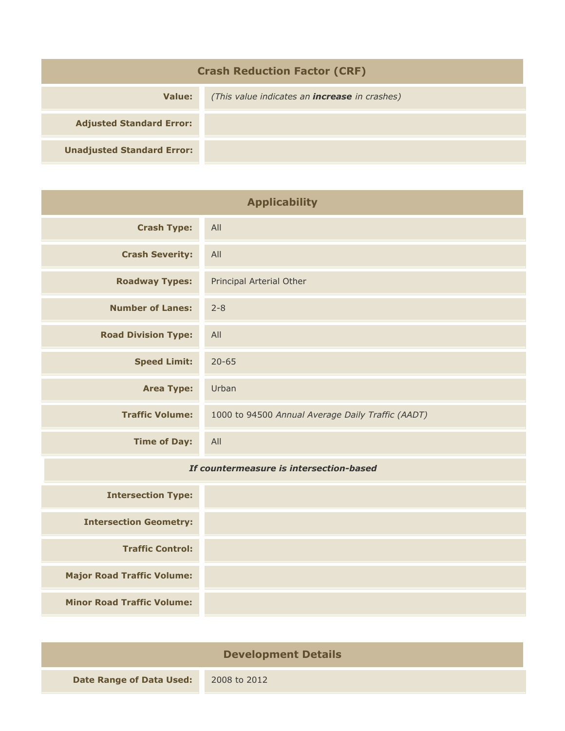| <b>Crash Reduction Factor (CRF)</b> |                                                      |  |
|-------------------------------------|------------------------------------------------------|--|
| Value:                              | (This value indicates an <b>increase</b> in crashes) |  |
| <b>Adjusted Standard Error:</b>     |                                                      |  |
| <b>Unadjusted Standard Error:</b>   |                                                      |  |

| <b>Applicability</b>       |                                                   |  |
|----------------------------|---------------------------------------------------|--|
| <b>Crash Type:</b>         | All                                               |  |
| <b>Crash Severity:</b>     | All                                               |  |
| <b>Roadway Types:</b>      | Principal Arterial Other                          |  |
| <b>Number of Lanes:</b>    | $2 - 8$                                           |  |
| <b>Road Division Type:</b> | All                                               |  |
| <b>Speed Limit:</b>        | $20 - 65$                                         |  |
| <b>Area Type:</b>          | Urban                                             |  |
| <b>Traffic Volume:</b>     | 1000 to 94500 Annual Average Daily Traffic (AADT) |  |
| <b>Time of Day:</b>        | All                                               |  |

## *If countermeasure is intersection-based*

| <b>Intersection Type:</b>         |
|-----------------------------------|
| <b>Intersection Geometry:</b>     |
| <b>Traffic Control:</b>           |
| <b>Major Road Traffic Volume:</b> |
| <b>Minor Road Traffic Volume:</b> |

| <b>Development Details</b>      |              |  |
|---------------------------------|--------------|--|
| <b>Date Range of Data Used:</b> | 2008 to 2012 |  |